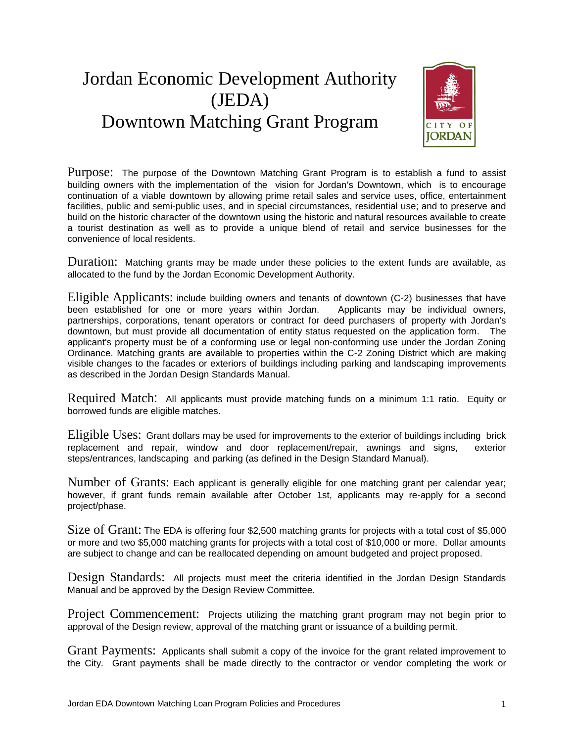## Jordan Economic Development Authority (JEDA) Downtown Matching Grant Program



Purpose: The purpose of the Downtown Matching Grant Program is to establish a fund to assist building owners with the implementation of the vision for Jordan's Downtown, which is to encourage continuation of a viable downtown by allowing prime retail sales and service uses, office, entertainment facilities, public and semi-public uses, and in special circumstances, residential use; and to preserve and build on the historic character of the downtown using the historic and natural resources available to create a tourist destination as well as to provide a unique blend of retail and service businesses for the convenience of local residents.

Duration: Matching grants may be made under these policies to the extent funds are available, as allocated to the fund by the Jordan Economic Development Authority.

Eligible Applicants: include building owners and tenants of downtown (C-2) businesses that have been established for one or more years within Jordan. Applicants may be individual owners, been established for one or more years within Jordan. partnerships, corporations, tenant operators or contract for deed purchasers of property with Jordan's downtown, but must provide all documentation of entity status requested on the application form. The applicant's property must be of a conforming use or legal non-conforming use under the Jordan Zoning Ordinance. Matching grants are available to properties within the C-2 Zoning District which are making visible changes to the facades or exteriors of buildings including parking and landscaping improvements as described in the Jordan Design Standards Manual.

Required Match: All applicants must provide matching funds on a minimum 1:1 ratio. Equity or borrowed funds are eligible matches.

Eligible Uses: Grant dollars may be used for improvements to the exterior of buildings including brick replacement and repair, window and door replacement/repair, awnings and signs, exterior steps/entrances, landscaping and parking (as defined in the Design Standard Manual).

Number of Grants: Each applicant is generally eligible for one matching grant per calendar year; however, if grant funds remain available after October 1st, applicants may re-apply for a second project/phase.

Size of Grant: The EDA is offering four \$2,500 matching grants for projects with a total cost of \$5,000 or more and two \$5,000 matching grants for projects with a total cost of \$10,000 or more. Dollar amounts are subject to change and can be reallocated depending on amount budgeted and project proposed.

Design Standards: All projects must meet the criteria identified in the Jordan Design Standards Manual and be approved by the Design Review Committee.

Project Commencement: Projects utilizing the matching grant program may not begin prior to approval of the Design review, approval of the matching grant or issuance of a building permit.

Grant Payments: Applicants shall submit a copy of the invoice for the grant related improvement to the City. Grant payments shall be made directly to the contractor or vendor completing the work or